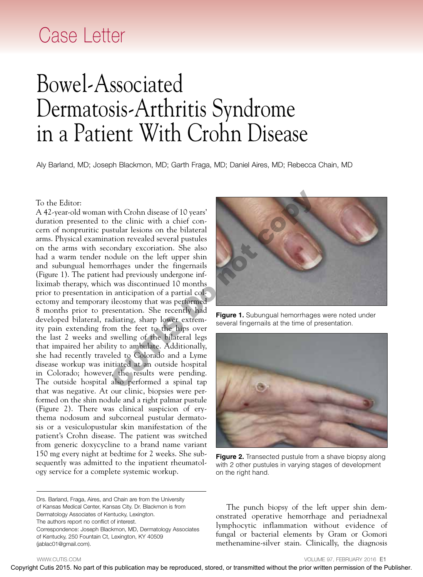## Case Letter

## Bowel-Associated Dermatosis-Arthritis Syndrome in a Patient With Crohn Disease

Aly Barland, MD; Joseph Blackmon, MD; Garth Fraga, MD; Daniel Aires, MD; Rebecca Chain, MD

## To the Editor:

A 42-year-old woman with Crohn disease of 10 years' duration presented to the clinic with a chief concern of nonpruritic pustular lesions on the bilateral arms. Physical examination revealed several pustules on the arms with secondary excoriation. She also had a warm tender nodule on the left upper shin and subungual hemorrhages under the fingernails (Figure 1). The patient had previously undergone infliximab therapy, which was discontinued 10 months prior to presentation in anticipation of a partial colectomy and temporary ileostomy that was performed 8 months prior to presentation. She recently had developed bilateral, radiating, sharp lower extremity pain extending from the feet to the hips over the last 2 weeks and swelling of the bilateral legs that impaired her ability to ambulate. Additionally, she had recently traveled to Colorado and a Lyme disease workup was initiated at an outside hospital in Colorado; however, the results were pending. The outside hospital also performed a spinal tap that was negative. At our clinic, biopsies were performed on the shin nodule and a right palmar pustule (Figure 2). There was clinical suspicion of erythema nodosum and subcorneal pustular dermatosis or a vesiculopustular skin manifestation of the patient's Crohn disease. The patient was switched from generic doxycycline to a brand name variant 150 mg every night at bedtime for 2 weeks. She subsequently was admitted to the inpatient rheumatology service for a complete systemic workup. To the Ellistor:<br>
A 4-2-year-old communistic collections in this communistic conduction may be reproduced with the publication<br>
on the arms with reconduct or the bett upper shown<br>
and a swarm received with the prior writt



**Figure 1.** Subungual hemorrhages were noted under several fingernails at the time of presentation.



**Figure 2.** Transected pustule from a shave biopsy along with 2 other pustules in varying stages of development on the right hand.

Drs. Barland, Fraga, Aires, and Chain are from the University of Kansas Medical Center, Kansas City. Dr. Blackmon is from Dermatology Associates of Kentucky, Lexington. The authors report no conflict of interest. Correspondence: Joseph Blackmon, MD, Dermatology Associates of Kentucky, 250 Fountain Ct, Lexington, KY 40509 (jablac01@gmail.com).

The punch biopsy of the left upper shin demonstrated operative hemorrhage and periadnexal lymphocytic inflammation without evidence of fungal or bacterial elements by Gram or Gomori methenamine-silver stain. Clinically, the diagnosis

WWW.CUTIS.COM **VOLUME 97, FEBRUARY 2016 E1**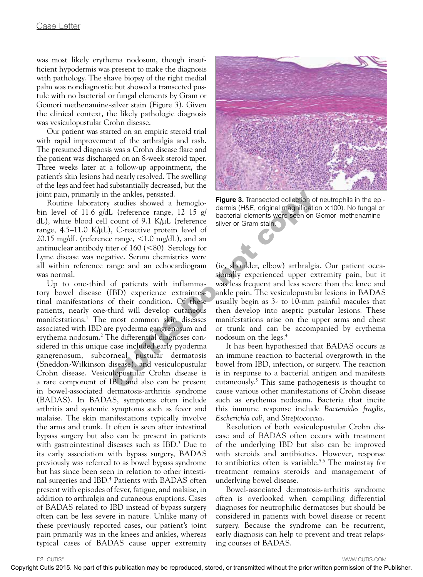was most likely erythema nodosum, though insufficient hypodermis was present to make the diagnosis with pathology. The shave biopsy of the right medial palm was nondiagnostic but showed a transected pustule with no bacterial or fungal elements by Gram or Gomori methenamine-silver stain (Figure 3). Given the clinical context, the likely pathologic diagnosis was vesiculopustular Crohn disease.

Our patient was started on an empiric steroid trial with rapid improvement of the arthralgia and rash. The presumed diagnosis was a Crohn disease flare and the patient was discharged on an 8-week steroid taper. Three weeks later at a follow-up appointment, the patient's skin lesions had nearly resolved. The swelling of the legs and feet had substantially decreased, but the joint pain, primarily in the ankles, persisted.

Routine laboratory studies showed a hemoglobin level of 11.6 g/dL (reference range, 12–15 g/ dL), white blood cell count of 9.1 K/μL (reference range, 4.5–11.0 K/μL), C-reactive protein level of 20.15 mg/dL (reference range,  $\lt 1.0$  mg/dL), and an antinuclear antibody titer of  $160$  ( $\leq 80$ ). Serology for Lyme disease was negative. Serum chemistries were all within reference range and an echocardiogram was normal.

Up to one-third of patients with inflammatory bowel disease (IBD) experience extraintestinal manifestations of their condition. Of these patients, nearly one-third will develop cutaneous manifestations.1 The most common skin diseases associated with IBD are pyoderma gangrenosum and erythema nodosum.2 The differential diagnoses considered in this unique case included early pyoderma gangrenosum, subcorneal pustular dermatosis (Sneddon-Wilkinson disease), and vesiculopustular Crohn disease. Vesiculopustular Crohn disease is a rare component of IBD and also can be present in bowel-associated dermatosis-arthritis syndrome (BADAS). In BADAS, symptoms often include arthritis and systemic symptoms such as fever and malaise. The skin manifestations typically involve the arms and trunk. It often is seen after intestinal bypass surgery but also can be present in patients with gastrointestinal diseases such as IBD.<sup>3</sup> Due to its early association with bypass surgery, BADAS previously was referred to as bowel bypass syndrome but has since been seen in relation to other intestinal surgeries and IBD.4 Patients with BADAS often present with episodes of fever, fatigue, and malaise, in addition to arthralgia and cutaneous eruptions. Cases of BADAS related to IBD instead of bypass surgery often can be less severe in nature. Unlike many of these previously reported cases, our patient's joint pain primarily was in the knees and ankles, whereas typical cases of BADAS cause upper extremity is the include of the colerar contents of the contents of the contents of the contents of the publication may be reproduced with the contents of the publication may be reproduced with the publication may be reproduced wit



**Figure 3.** Transected collection of neutrophils in the epidermis (H&E, original magnification  $\times$ 100). No fungal or bacterial elements were seen on Gomori methenaminesilver or Gram stain.

(ie, shoulder, elbow) arthralgia. Our patient occasionally experienced upper extremity pain, but it was less frequent and less severe than the knee and ankle pain. The vesiculopustular lesions in BADAS usually begin as 3- to 10-mm painful macules that then develop into aseptic pustular lesions. These manifestations arise on the upper arms and chest or trunk and can be accompanied by erythema nodosum on the legs.4

It has been hypothesized that BADAS occurs as an immune reaction to bacterial overgrowth in the bowel from IBD, infection, or surgery. The reaction is in response to a bacterial antigen and manifests cutaneously.5 This same pathogenesis is thought to cause various other manifestations of Crohn disease such as erythema nodosum. Bacteria that incite this immune response include *Bacteroides fragilis, Escherichia coli,* and *Streptococcus*.

Resolution of both vesiculopustular Crohn disease and of BADAS often occurs with treatment of the underlying IBD but also can be improved with steroids and antibiotics. However, response to antibiotics often is variable.<sup>5,6</sup> The mainstay for treatment remains steroids and management of underlying bowel disease.

Bowel-associated dermatosis-arthritis syndrome often is overlooked when compiling differential diagnoses for neutrophilic dermatoses but should be considered in patients with bowel disease or recent surgery. Because the syndrome can be recurrent, early diagnosis can help to prevent and treat relapsing courses of BADAS.